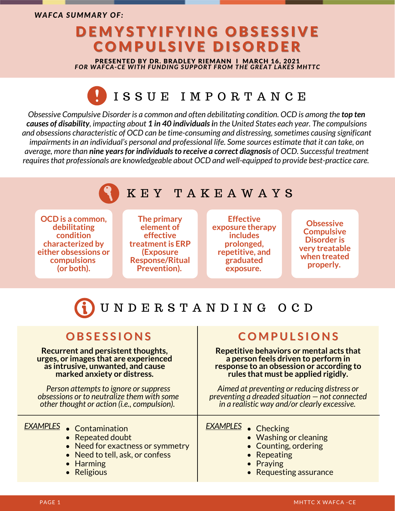*WAFCA SUMMARY OF:*

# DEMYSTYIFYING OBSESSIVE COMPULSIVE DISORDER

PRESENTED BY DR. BRADLEY RIEMANN I MARCH 16, 2021 *FOR WAFCA-CE WITH FUNDING SUPPORT FROM THE GREAT LAKES MHTTC*

## I S S U E I M P O R T A N C E

*Obsessive Compulsive Disorder is a common and often debilitating condition. OCD is among the top ten* causes of disability, impacting about 1 in 40 individuals in the United States each year. The compulsions *and obsessions characteristic of OCD can be time-consuming and distressing,sometimes causing significant impairmentsin an individual's personal and professional life. Some sources estimate that it can take, on average, more than nine yearsfor individualsto receive a correct diagnosis of OCD. Successful treatment requiresthat professionals are knowledgeable about OCD and well-equipped to provide best-practice care.*

### K E Y T A K E A W A Y S

**OCD is a common, debilitating condition characterized by either obsessions or compulsions (or both).**

**The primary element of effective treatmentis ERP (Exposure Response/Ritual Prevention).**

**Effective exposure therapy includes prolonged, repetitive, and graduated exposure.**

**Obsessive Compulsive Disorder is very treatable when treated properly.**

# U N D E R S T A N D I N G O C D

**Recurrent and persistent thoughts, urges, or images that are experienced as intrusive, unwanted, and cause marked anxiety or distress.**

*Person attempts to ignore or suppress obsessions or to neutralize them with some other thought or action (i.e., compulsion).*

- Contamination *EXAMPLES EXAMPLES*
	- Repeated doubt
	- Need for exactness or symmetry
	- Need to tell, ask, or confess
	- Harming
	- Religious

### $\blacksquare$  **COMPULSIONS**

**Repetitive behaviors or mental acts that a person feels driven to perform in response to an obsession or according to rules that must be applied rigidly.**

*Aimed at preventing or reducing distress or preventing a dreaded situation — not connected in a realistic way and/or clearly excessive.*

- EXAMPLES Checking
	- Washing or cleaning
	- Counting, ordering
	- Repeating
	- Praying
	- Requesting assurance